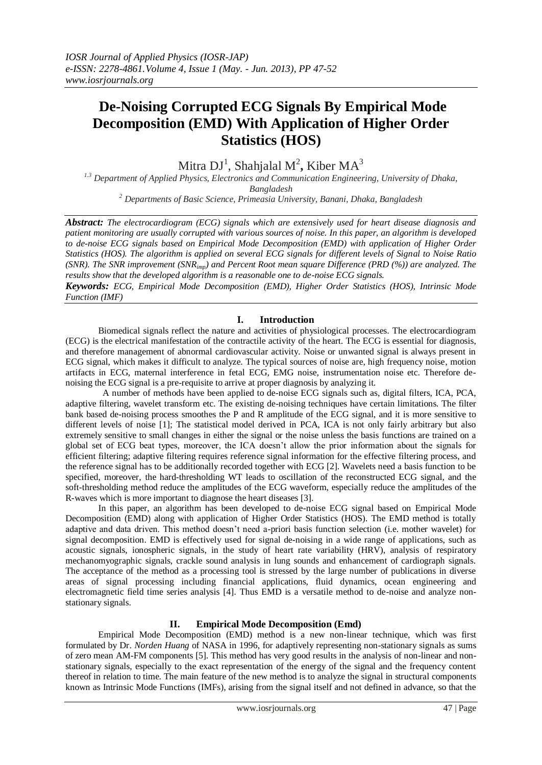# **De-Noising Corrupted ECG Signals By Empirical Mode Decomposition (EMD) With Application of Higher Order Statistics (HOS)**

Mitra DJ<sup>1</sup>, Shahjalal M<sup>2</sup>, Kiber MA<sup>3</sup>

*1.3 Department of Applied Physics, Electronics and Communication Engineering, University of Dhaka, Bangladesh*

*<sup>2</sup> Departments of Basic Science, Primeasia University, Banani, Dhaka, Bangladesh*

*Abstract: The electrocardiogram (ECG) signals which are extensively used for heart disease diagnosis and patient monitoring are usually corrupted with various sources of noise. In this paper, an algorithm is developed to de-noise ECG signals based on Empirical Mode Decomposition (EMD) with application of Higher Order Statistics (HOS). The algorithm is applied on several ECG signals for different levels of Signal to Noise Ratio (SNR). The SNR improvement (SNRimp) and Percent Root mean square Difference (PRD (%)) are analyzed. The results show that the developed algorithm is a reasonable one to de-noise ECG signals.*

*Keywords: ECG, Empirical Mode Decomposition (EMD), Higher Order Statistics (HOS), Intrinsic Mode Function (IMF)*

# **I. Introduction**

Biomedical signals reflect the nature and activities of physiological processes. The electrocardiogram (ECG) is the electrical manifestation of the contractile activity of the heart. The ECG is essential for diagnosis, and therefore management of abnormal cardiovascular activity. Noise or unwanted signal is always present in ECG signal, which makes it difficult to analyze. The typical sources of noise are, high frequency noise, motion artifacts in ECG, maternal interference in fetal ECG, EMG noise, instrumentation noise etc. Therefore denoising the ECG signal is a pre-requisite to arrive at proper diagnosis by analyzing it.

 A number of methods have been applied to de-noise ECG signals such as, digital filters, ICA, PCA, adaptive filtering, wavelet transform etc. The existing de-noising techniques have certain limitations. The filter bank based de-noising process smoothes the P and R amplitude of the ECG signal, and it is more sensitive to different levels of noise [1]; The statistical model derived in PCA, ICA is not only fairly arbitrary but also extremely sensitive to small changes in either the signal or the noise unless the basis functions are trained on a global set of ECG beat types, moreover, the ICA doesn't allow the prior information about the signals for efficient filtering; adaptive filtering requires reference signal information for the effective filtering process, and the reference signal has to be additionally recorded together with ECG [2]. Wavelets need a basis function to be specified, moreover, the hard-thresholding WT leads to oscillation of the reconstructed ECG signal, and the soft-thresholding method reduce the amplitudes of the ECG waveform, especially reduce the amplitudes of the R-waves which is more important to diagnose the heart diseases [3].

 In this paper, an algorithm has been developed to de-noise ECG signal based on Empirical Mode Decomposition (EMD) along with application of Higher Order Statistics (HOS). The EMD method is totally adaptive and data driven. This method doesn't need a-priori basis function selection (i.e. mother wavelet) for signal decomposition. EMD is effectively used for signal de-noising in a wide range of applications, such as acoustic signals, ionospheric signals, in the study of heart rate variability (HRV), analysis of respiratory mechanomyographic signals, crackle sound analysis in lung sounds and enhancement of cardiograph signals. The acceptance of the method as a processing tool is stressed by the large number of publications in diverse areas of signal processing including financial applications, fluid dynamics, ocean engineering and electromagnetic field time series analysis [4]. Thus EMD is a versatile method to de-noise and analyze nonstationary signals.

# **II. Empirical Mode Decomposition (Emd)**

Empirical Mode Decomposition (EMD) method is a new non-linear technique, which was first formulated by Dr. *Norden Huang* of NASA in 1996, for adaptively representing non-stationary signals as sums of zero mean AM-FM components [5]. This method has very good results in the analysis of non-linear and nonstationary signals, especially to the exact representation of the energy of the signal and the frequency content thereof in relation to time. The main feature of the new method is to analyze the signal in structural components known as Intrinsic Mode Functions (IMFs), arising from the signal itself and not defined in advance, so that the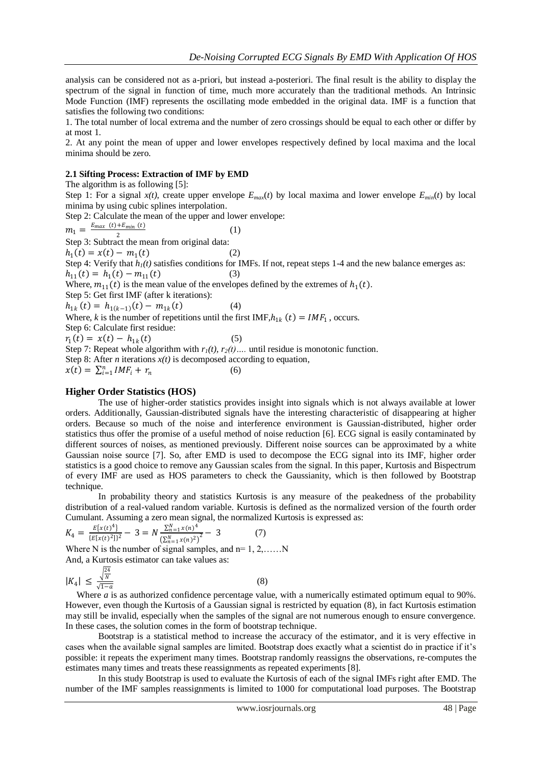analysis can be considered not as a-priori, but instead a-posteriori. The final result is the ability to display the spectrum of the signal in function of time, much more accurately than the traditional methods. An Intrinsic Mode Function (IMF) represents the oscillating mode embedded in the original data. IMF is a function that satisfies the following two conditions:

1. The total number of local extrema and the number of zero crossings should be equal to each other or differ by at most 1.

2. At any point the mean of upper and lower envelopes respectively defined by local maxima and the local minima should be zero.

## **2.1 Sifting Process: Extraction of IMF by EMD**

The algorithm is as following [5]:

Step 1: For a signal  $x(t)$ , create upper envelope  $E_{max}(t)$  by local maxima and lower envelope  $E_{min}(t)$  by local minima by using cubic splines interpolation.

Step 2: Calculate the mean of the upper and lower envelope:

 $m_1 = \frac{E_{max}(t) + E_{min}(t)}{2}$ 2 (1)

Step 3: Subtract the mean from original data:

 $h_1(t) = x(t) - m_1$ 

Step 4: Verify that  $h_l(t)$  satisfies conditions for IMFs. If not, repeat steps 1-4 and the new balance emerges as:  $h_{11}(t) = h_1(t) - m_{11}(t)$  (3)

Where,  $m_{11}(t)$  is the mean value of the envelopes defined by the extremes of  $h_1(t)$ .

 $(2)$ 

Step 5: Get first IMF (after k iterations):

 $h_{1k}(t) = h_{1(k-1)}(t) - m_{1k}(t)$  (4)

Where, *k* is the number of repetitions until the first IMF,  $h_{1k}(t) = IMF_1$ , occurs.

Step 6: Calculate first residue:  $r_1(t) = x(t) - h_{1k}$ 

Step 7: Repeat whole algorithm with  $r_1(t)$ ,  $r_2(t)$ …. until residue is monotonic function.

 $(5)$ 

Step 8: After *n* iterations  $x(t)$  is decomposed according to equation,

 $x(t) = \sum_{i=1}^{n} IMF_i + r_n$ (6)

### **Higher Order Statistics (HOS)**

The use of higher-order statistics provides insight into signals which is not always available at lower orders. Additionally, Gaussian-distributed signals have the interesting characteristic of disappearing at higher orders. Because so much of the noise and interference environment is Gaussian-distributed, higher order statistics thus offer the promise of a useful method of noise reduction [6]. ECG signal is easily contaminated by different sources of noises, as mentioned previously. Different noise sources can be approximated by a white Gaussian noise source [7]. So, after EMD is used to decompose the ECG signal into its IMF, higher order statistics is a good choice to remove any Gaussian scales from the signal. In this paper, Kurtosis and Bispectrum of every IMF are used as HOS parameters to check the Gaussianity, which is then followed by Bootstrap technique.

 In probability theory and statistics Kurtosis is any measure of the peakedness of the probability distribution of a real-valued random variable. Kurtosis is defined as the normalized version of the fourth order Cumulant. Assuming a zero mean signal, the normalized Kurtosis is expressed as:

$$
K_4 = \frac{E\{x(t)^4\}}{\{E[x(t)^2]\}^2} - 3 = N \frac{\sum_{n=1}^{N} x(n)^4}{\left(\sum_{n=1}^{N} x(n)^2\right)^2} - 3 \tag{7}
$$

Where N is the number of signal samples, and  $n=1, 2, \ldots N$ And, a Kurtosis estimator can take values as:

$$
|K_4| \le \frac{\sqrt{\frac{24}{N}}}{\sqrt{1-a}}\tag{8}
$$

Where *a* is as authorized confidence percentage value, with a numerically estimated optimum equal to 90%. However, even though the Kurtosis of a Gaussian signal is restricted by equation (8), in fact Kurtosis estimation may still be invalid, especially when the samples of the signal are not numerous enough to ensure convergence. In these cases, the solution comes in the form of bootstrap technique.

 Bootstrap is a statistical method to increase the accuracy of the estimator, and it is very effective in cases when the available signal samples are limited. Bootstrap does exactly what a scientist do in practice if it's possible: it repeats the experiment many times. Bootstrap randomly reassigns the observations, re-computes the estimates many times and treats these reassignments as repeated experiments [8].

 In this study Bootstrap is used to evaluate the Kurtosis of each of the signal IMFs right after EMD. The number of the IMF samples reassignments is limited to 1000 for computational load purposes. The Bootstrap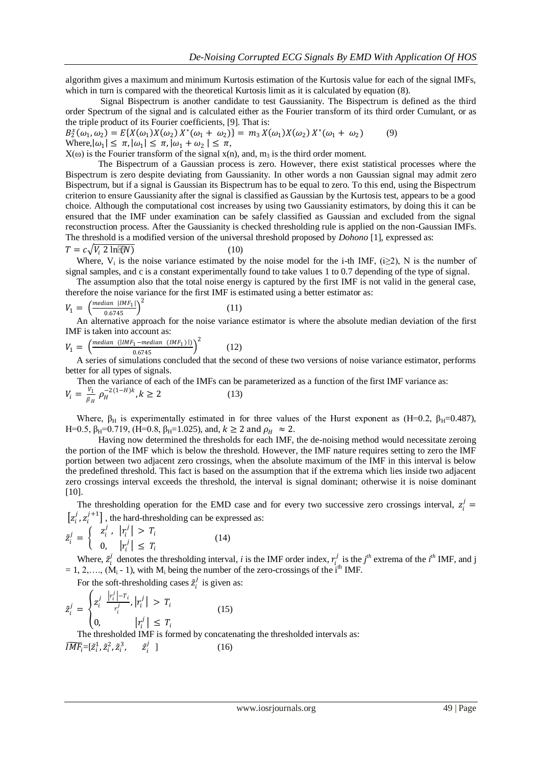algorithm gives a maximum and minimum Kurtosis estimation of the Kurtosis value for each of the signal IMFs, which in turn is compared with the theoretical Kurtosis limit as it is calculated by equation  $(8)$ .

 Signal Bispectrum is another candidate to test Gaussianity. The Bispectrum is defined as the third order Spectrum of the signal and is calculated either as the Fourier transform of its third order Cumulant, or as the triple product of its Fourier coefficients, [9]. That is:

 $B_2^x(\omega_1, \omega_2) = E\{X(\omega_1)X(\omega_2) X^*(\omega_1 + \omega_2)\} = m_3 X(\omega_1)X(\omega_2) X^*(\omega_1 + \omega_2)$ ) (9) Where,  $|\omega_1| \leq \pi$ ,  $|\omega_1| \leq \pi$ ,  $|\omega_1 + \omega_2| \leq \pi$ ,

 $X(\omega)$  is the Fourier transform of the signal  $x(n)$ , and,  $m_3$  is the third order moment.

 The Bispectrum of a Gaussian process is zero. However, there exist statistical processes where the Bispectrum is zero despite deviating from Gaussianity. In other words a non Gaussian signal may admit zero Bispectrum, but if a signal is Gaussian its Bispectrum has to be equal to zero. To this end, using the Bispectrum criterion to ensure Gaussianity after the signal is classified as Gaussian by the Kurtosis test, appears to be a good choice. Although the computational cost increases by using two Gaussianity estimators, by doing this it can be ensured that the IMF under examination can be safely classified as Gaussian and excluded from the signal reconstruction process. After the Gaussianity is checked thresholding rule is applied on the non-Gaussian IMFs. The threshold is a modified version of the universal threshold proposed by *Dohono* [1], expressed as:

$$
T = c\sqrt{V_i \ 2 \ln[\mathcal{C}N]} \tag{10}
$$

Where,  $V_i$  is the noise variance estimated by the noise model for the i-th IMF, (i $\geq$ 2), N is the number of signal samples, and c is a constant experimentally found to take values 1 to 0.7 depending of the type of signal.

 The assumption also that the total noise energy is captured by the first IMF is not valid in the general case, therefore the noise variance for the first IMF is estimated using a better estimator as:

$$
V_1 = \left(\frac{median \ | IMF_1|}{0.6745}\right)^2 \tag{11}
$$

 An alternative approach for the noise variance estimator is where the absolute median deviation of the first IMF is taken into account as:

$$
V_1 = \left(\frac{median \ (|IMF_1 - median \ (IMF_1) |)}{0.6745}\right)^2 \tag{12}
$$

 A series of simulations concluded that the second of these two versions of noise variance estimator, performs better for all types of signals.

 Then the variance of each of the IMFs can be parameterized as a function of the first IMF variance as:  $V_i = \frac{V_1}{R_1}$  $\frac{V_1}{\beta_H} \rho_H^{-2(1-H)k}, k \ge 2$  (13)

Where,  $\beta_H$  is experimentally estimated in for three values of the Hurst exponent as (H=0.2,  $\beta_H$ =0.487), H=0.5, β<sub>H</sub>=0.719, (H=0.8, β<sub>H</sub>=1.025), and,  $k \ge 2$  and  $ρ$ <sub>H</sub>  $\approx 2$ .

 Having now determined the thresholds for each IMF, the de-noising method would necessitate zeroing the portion of the IMF which is below the threshold. However, the IMF nature requires setting to zero the IMF portion between two adjacent zero crossings, when the absolute maximum of the IMF in this interval is below the predefined threshold. This fact is based on the assumption that if the extrema which lies inside two adjacent zero crossings interval exceeds the threshold, the interval is signal dominant; otherwise it is noise dominant [10].

The thresholding operation for the EMD case and for every two successive zero crossings interval,  $z_i^j$  =  $[z_i^j, z_i^{j+1}]$ , the hard-thresholding can be expressed as:

$$
\tilde{z}_i^j = \begin{cases}\n z_i^j, & |r_i^j| > T_i \\
0, & |r_i^j| \le T_i\n\end{cases}\n\tag{14}
$$

Where,  $\tilde{z}_i^j$  $\mu_i^j$  denotes the thresholding interval, *i* is the IMF order index,  $r_i^j$  is the *j*<sup>th</sup> extrema of the *i*<sup>th</sup> IMF, and j  $= 1, 2, \ldots, (M_i - 1)$ , with  $M_i$  being the number of the zero-crossings of the  $i<sup>th</sup>$  IMF.

For the soft-thresholding cases  $\tilde{z}_i^j$  $i$  is given as:

$$
\tilde{z}_i^j = \begin{cases} z_i^j & \left| \frac{r_i^j - r_i}{r_i^j}, \left| r_i^j \right| > T_i \\ 0, & \left| r_i^j \right| \le T_i \end{cases} \tag{15}
$$

 The thresholded IMF is formed by concatenating the thresholded intervals as:  $\widetilde{IMF_i} = [\tilde{z}_i^1, \tilde{z}_i^2, \tilde{z}_i^3, \qquad \tilde{z}_i^j$ i j  $(16)$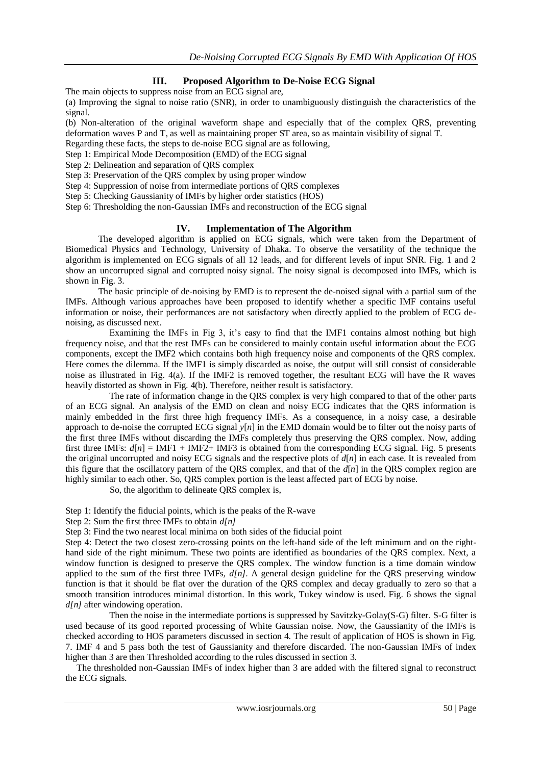# **III. Proposed Algorithm to De-Noise ECG Signal**

The main objects to suppress noise from an ECG signal are,

(a) Improving the signal to noise ratio (SNR), in order to unambiguously distinguish the characteristics of the signal.

(b) Non-alteration of the original waveform shape and especially that of the complex QRS, preventing deformation waves P and T, as well as maintaining proper ST area, so as maintain visibility of signal T.

Regarding these facts, the steps to de-noise ECG signal are as following,

Step 1: Empirical Mode Decomposition (EMD) of the ECG signal

Step 2: Delineation and separation of QRS complex

Step 3: Preservation of the QRS complex by using proper window

Step 4: Suppression of noise from intermediate portions of QRS complexes

Step 5: Checking Gaussianity of IMFs by higher order statistics (HOS)

Step 6: Thresholding the non-Gaussian IMFs and reconstruction of the ECG signal

## **IV. Implementation of The Algorithm**

The developed algorithm is applied on ECG signals, which were taken from the Department of Biomedical Physics and Technology, University of Dhaka. To observe the versatility of the technique the algorithm is implemented on ECG signals of all 12 leads, and for different levels of input SNR. Fig. 1 and 2 show an uncorrupted signal and corrupted noisy signal. The noisy signal is decomposed into IMFs, which is shown in Fig. 3.

 The basic principle of de-noising by EMD is to represent the de-noised signal with a partial sum of the IMFs. Although various approaches have been proposed to identify whether a specific IMF contains useful information or noise, their performances are not satisfactory when directly applied to the problem of ECG denoising, as discussed next.

 Examining the IMFs in Fig 3, it's easy to find that the IMF1 contains almost nothing but high frequency noise, and that the rest IMFs can be considered to mainly contain useful information about the ECG components, except the IMF2 which contains both high frequency noise and components of the QRS complex. Here comes the dilemma. If the IMF1 is simply discarded as noise, the output will still consist of considerable noise as illustrated in Fig. 4(a). If the IMF2 is removed together, the resultant ECG will have the R waves heavily distorted as shown in Fig. 4(b). Therefore, neither result is satisfactory.

 The rate of information change in the QRS complex is very high compared to that of the other parts of an ECG signal. An analysis of the EMD on clean and noisy ECG indicates that the QRS information is mainly embedded in the first three high frequency IMFs. As a consequence, in a noisy case, a desirable approach to de-noise the corrupted ECG signal *y*[*n*] in the EMD domain would be to filter out the noisy parts of the first three IMFs without discarding the IMFs completely thus preserving the QRS complex. Now, adding first three IMFs:  $d[n] = IMF1 + IMF2 + IMF3$  is obtained from the corresponding ECG signal. Fig. 5 presents the original uncorrupted and noisy ECG signals and the respective plots of  $d[n]$  in each case. It is revealed from this figure that the oscillatory pattern of the QRS complex, and that of the *d*[*n*] in the QRS complex region are highly similar to each other. So, QRS complex portion is the least affected part of ECG by noise.

So, the algorithm to delineate QRS complex is,

Step 1: Identify the fiducial points, which is the peaks of the R-wave

Step 2: Sum the first three IMFs to obtain *d[n]*

Step 3: Find the two nearest local minima on both sides of the fiducial point

Step 4: Detect the two closest zero-crossing points on the left-hand side of the left minimum and on the righthand side of the right minimum. These two points are identified as boundaries of the QRS complex. Next, a window function is designed to preserve the QRS complex. The window function is a time domain window applied to the sum of the first three IMFs, *d[n]*. A general design guideline for the QRS preserving window function is that it should be flat over the duration of the QRS complex and decay gradually to zero so that a smooth transition introduces minimal distortion. In this work, Tukey window is used. Fig. 6 shows the signal *d[n]* after windowing operation.

 Then the noise in the intermediate portions is suppressed by Savitzky-Golay(S-G) filter. S-G filter is used because of its good reported processing of White Gaussian noise. Now, the Gaussianity of the IMFs is checked according to HOS parameters discussed in section 4. The result of application of HOS is shown in Fig. 7. IMF 4 and 5 pass both the test of Gaussianity and therefore discarded. The non-Gaussian IMFs of index higher than 3 are then Thresholded according to the rules discussed in section 3.

 The thresholded non-Gaussian IMFs of index higher than 3 are added with the filtered signal to reconstruct the ECG signals.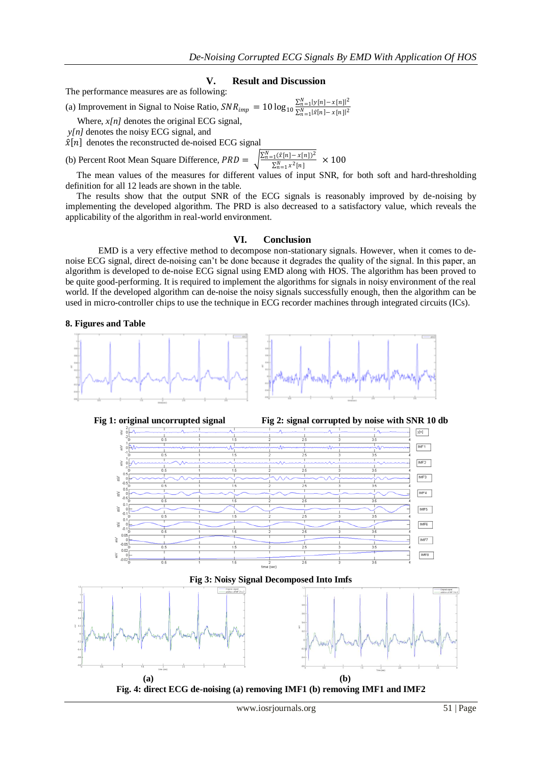#### **V. Result and Discussion**

The performance measures are as following:

(a) Improvement in Signal to Noise Ratio,  $SNR_{imp} = 10 \log_{10} \frac{\sum_{n=1}^{N} |y[n] - x[n]|^2}{\sum_{n=1}^{N} |\hat{x}[n] - x[n]|^2}$ 

Where, *x[n]* denotes the original ECG signal,

*y[n]* denotes the noisy ECG signal, and

 $\hat{\mathbf{x}}[n]$  denotes the reconstructed de-noised ECG signal

(b) Percent Root Mean Square Difference,  $PRD = \sqrt{\frac{\sum_{n=1}^{N} (\hat{z}[n] - x[n])^2}{\sum_{n=1}^{N} x^2[n]}} \times 100$ 

 The mean values of the measures for different values of input SNR, for both soft and hard-thresholding definition for all 12 leads are shown in the table.

 The results show that the output SNR of the ECG signals is reasonably improved by de-noising by implementing the developed algorithm. The PRD is also decreased to a satisfactory value, which reveals the applicability of the algorithm in real-world environment.

#### **VI. Conclusion**

EMD is a very effective method to decompose non-stationary signals. However, when it comes to denoise ECG signal, direct de-noising can't be done because it degrades the quality of the signal. In this paper, an algorithm is developed to de-noise ECG signal using EMD along with HOS. The algorithm has been proved to be quite good-performing. It is required to implement the algorithms for signals in noisy environment of the real world. If the developed algorithm can de-noise the noisy signals successfully enough, then the algorithm can be used in micro-controller chips to use the technique in ECG recorder machines through integrated circuits (ICs).

#### **8. Figures and Table**





**Fig 3: Noisy Signal Decomposed Into Imfs**



**Fig. 4: direct ECG de-noising (a) removing IMF1 (b) removing IMF1 and IMF2**